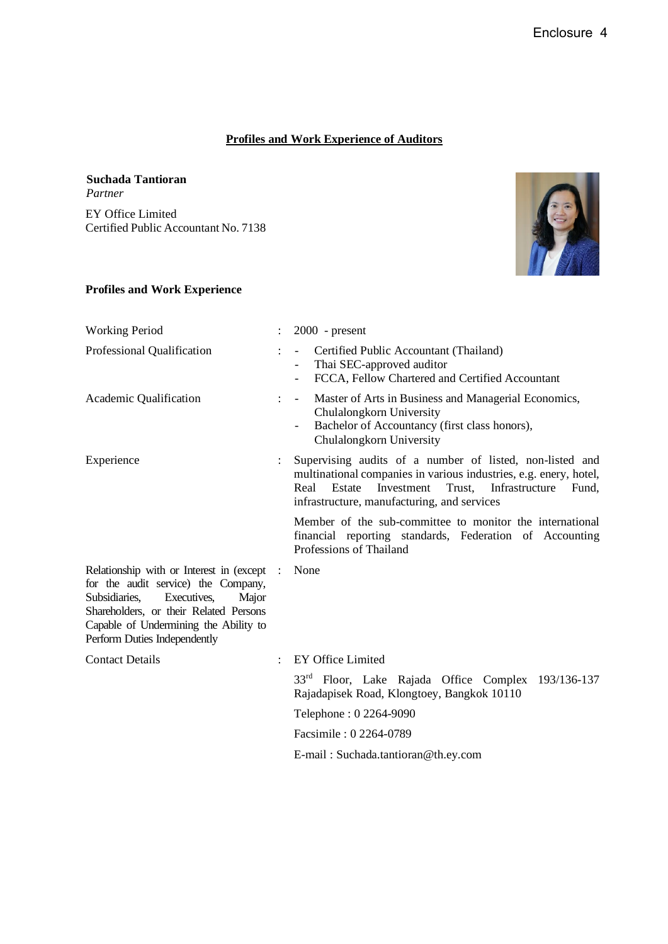### **Profiles and Work Experience of Auditors**

**Suchada Tantioran** *Partner* EY Office Limited Certified Public Accountant No. 7138



#### **Profiles and Work Experience**

| <b>Working Period</b>                                                                                                                                                                                                                       |            | $2000$ - present                                                                                                                                                                                                                                  |
|---------------------------------------------------------------------------------------------------------------------------------------------------------------------------------------------------------------------------------------------|------------|---------------------------------------------------------------------------------------------------------------------------------------------------------------------------------------------------------------------------------------------------|
| Professional Qualification                                                                                                                                                                                                                  |            | Certified Public Accountant (Thailand)<br>Thai SEC-approved auditor<br>$\overline{\phantom{0}}$<br>FCCA, Fellow Chartered and Certified Accountant<br>$\overline{\phantom{a}}$                                                                    |
| Academic Qualification                                                                                                                                                                                                                      |            | Master of Arts in Business and Managerial Economics,<br>$\overline{\phantom{a}}$<br>Chulalongkorn University<br>Bachelor of Accountancy (first class honors),<br>$\overline{\phantom{a}}$<br>Chulalongkorn University                             |
| Experience                                                                                                                                                                                                                                  |            | Supervising audits of a number of listed, non-listed and<br>multinational companies in various industries, e.g. enery, hotel,<br>Real<br>Estate<br>Investment<br>Trust,<br>Infrastructure<br>Fund.<br>infrastructure, manufacturing, and services |
|                                                                                                                                                                                                                                             |            | Member of the sub-committee to monitor the international<br>financial reporting standards, Federation of Accounting<br>Professions of Thailand                                                                                                    |
| Relationship with or Interest in (except<br>for the audit service) the Company,<br>Subsidiaries,<br>Executives,<br>Major<br>Shareholders, or their Related Persons<br>Capable of Undermining the Ability to<br>Perform Duties Independently | $\sim$ 1.1 | None                                                                                                                                                                                                                                              |
| <b>Contact Details</b>                                                                                                                                                                                                                      |            | EY Office Limited                                                                                                                                                                                                                                 |
|                                                                                                                                                                                                                                             |            | 33 <sup>rd</sup> Floor, Lake Rajada Office Complex 193/136-137<br>Rajadapisek Road, Klongtoey, Bangkok 10110                                                                                                                                      |
|                                                                                                                                                                                                                                             |            | Telephone: 0 2264-9090                                                                                                                                                                                                                            |
|                                                                                                                                                                                                                                             |            | Facsimile: 0 2264-0789                                                                                                                                                                                                                            |
|                                                                                                                                                                                                                                             |            | E-mail: Suchada.tantioran@th.ey.com                                                                                                                                                                                                               |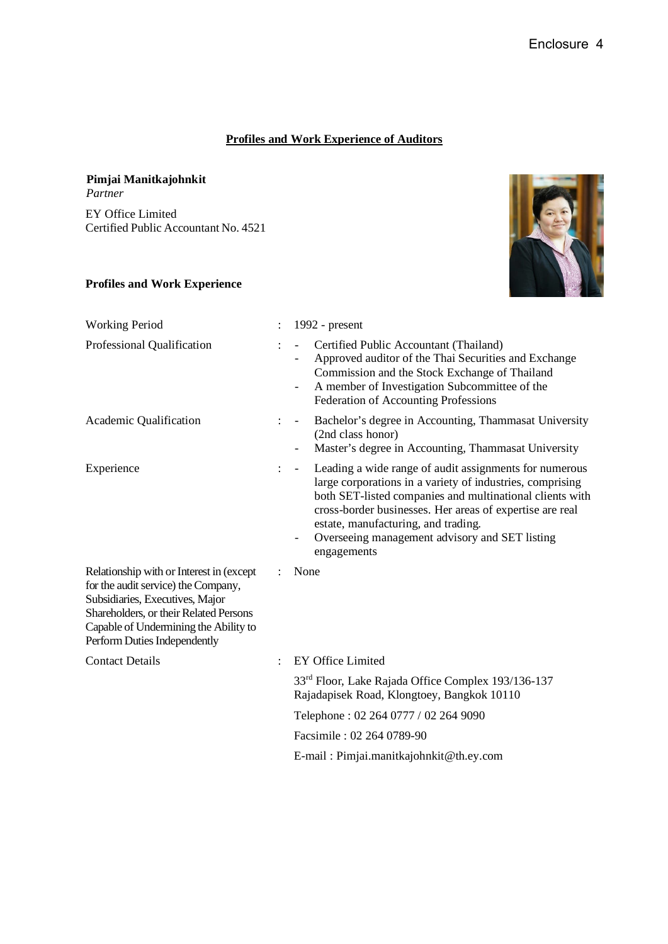### **Profiles and Work Experience of Auditors**

# **Pimjai Manitkajohnkit**

*Partner* EY Office Limited Certified Public Accountant No. 4521

### **Profiles and Work Experience**



| <b>Working Period</b>                                                                                                                                                                                                                 |                      | 1992 - $present$                                                                                                                                                                                                                                                                                                                                              |
|---------------------------------------------------------------------------------------------------------------------------------------------------------------------------------------------------------------------------------------|----------------------|---------------------------------------------------------------------------------------------------------------------------------------------------------------------------------------------------------------------------------------------------------------------------------------------------------------------------------------------------------------|
| Professional Qualification                                                                                                                                                                                                            |                      | Certified Public Accountant (Thailand)<br>Approved auditor of the Thai Securities and Exchange<br>Commission and the Stock Exchange of Thailand<br>A member of Investigation Subcommittee of the<br>Federation of Accounting Professions                                                                                                                      |
| Academic Qualification                                                                                                                                                                                                                | $\ddot{\phantom{0}}$ | Bachelor's degree in Accounting, Thammasat University<br>$\overline{\phantom{a}}$<br>(2nd class honor)<br>Master's degree in Accounting, Thammasat University<br>$\overline{\phantom{a}}$                                                                                                                                                                     |
| Experience                                                                                                                                                                                                                            | ÷                    | Leading a wide range of audit assignments for numerous<br>$\sim$<br>large corporations in a variety of industries, comprising<br>both SET-listed companies and multinational clients with<br>cross-border businesses. Her areas of expertise are real<br>estate, manufacturing, and trading.<br>Overseeing management advisory and SET listing<br>engagements |
| Relationship with or Interest in (except<br>for the audit service) the Company,<br>Subsidiaries, Executives, Major<br>Shareholders, or their Related Persons<br>Capable of Undermining the Ability to<br>Perform Duties Independently | ÷.                   | None                                                                                                                                                                                                                                                                                                                                                          |
| <b>Contact Details</b>                                                                                                                                                                                                                |                      | <b>EY Office Limited</b>                                                                                                                                                                                                                                                                                                                                      |
|                                                                                                                                                                                                                                       |                      | 33 <sup>rd</sup> Floor, Lake Rajada Office Complex 193/136-137<br>Rajadapisek Road, Klongtoey, Bangkok 10110                                                                                                                                                                                                                                                  |
|                                                                                                                                                                                                                                       |                      | Telephone: 02 264 0777 / 02 264 9090                                                                                                                                                                                                                                                                                                                          |
|                                                                                                                                                                                                                                       |                      | Facsimile: 02 264 0789-90                                                                                                                                                                                                                                                                                                                                     |
|                                                                                                                                                                                                                                       |                      | E-mail: Pimjai.manitkajohnkit@th.ey.com                                                                                                                                                                                                                                                                                                                       |